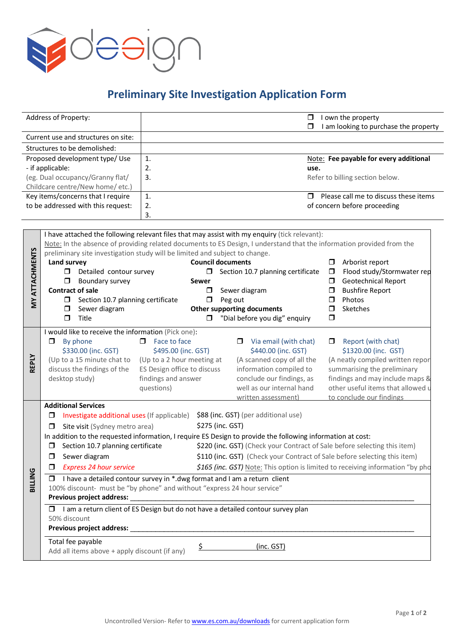

## **Preliminary Site Investigation Application Form**

| Address of Property:                                                                                                                                                                                                   |                                                                                                                                                         | $\Box$<br>$\Box$                                                                                                   | I own the property<br>I am looking to purchase the property     |  |  |
|------------------------------------------------------------------------------------------------------------------------------------------------------------------------------------------------------------------------|---------------------------------------------------------------------------------------------------------------------------------------------------------|--------------------------------------------------------------------------------------------------------------------|-----------------------------------------------------------------|--|--|
| Current use and structures on site:                                                                                                                                                                                    |                                                                                                                                                         |                                                                                                                    |                                                                 |  |  |
| Structures to be demolished:                                                                                                                                                                                           |                                                                                                                                                         |                                                                                                                    |                                                                 |  |  |
| Proposed development type/ Use                                                                                                                                                                                         |                                                                                                                                                         | 1.                                                                                                                 | Note: Fee payable for every additional                          |  |  |
| - if applicable:                                                                                                                                                                                                       |                                                                                                                                                         | 2.<br>use.                                                                                                         |                                                                 |  |  |
| (eg. Dual occupancy/Granny flat/<br>Childcare centre/New home/ etc.)                                                                                                                                                   |                                                                                                                                                         | 3.                                                                                                                 | Refer to billing section below.                                 |  |  |
| Key items/concerns that I require                                                                                                                                                                                      |                                                                                                                                                         | 1.<br>$\Box$                                                                                                       | Please call me to discuss these items                           |  |  |
| to be addressed with this request:                                                                                                                                                                                     |                                                                                                                                                         | 2.                                                                                                                 | of concern before proceeding                                    |  |  |
|                                                                                                                                                                                                                        |                                                                                                                                                         | 3.                                                                                                                 |                                                                 |  |  |
|                                                                                                                                                                                                                        |                                                                                                                                                         |                                                                                                                    |                                                                 |  |  |
| I have attached the following relevant files that may assist with my enquiry (tick relevant):<br>Note: In the absence of providing related documents to ES Design, I understand that the information provided from the |                                                                                                                                                         |                                                                                                                    |                                                                 |  |  |
|                                                                                                                                                                                                                        |                                                                                                                                                         | preliminary site investigation study will be limited and subject to change.                                        |                                                                 |  |  |
| <b>MY ATTACHMENTS</b>                                                                                                                                                                                                  | Land survey                                                                                                                                             | <b>Council documents</b>                                                                                           | Arborist report<br>$\Box$                                       |  |  |
|                                                                                                                                                                                                                        | $\Box$<br>Detailed contour survey                                                                                                                       | $\Box$<br>Section 10.7 planning certificate                                                                        | Flood study/Stormwater rep<br>$\Box$                            |  |  |
|                                                                                                                                                                                                                        | Boundary survey<br>$\Box$                                                                                                                               | Sewer                                                                                                              | Geotechnical Report<br>$\Box$                                   |  |  |
|                                                                                                                                                                                                                        | <b>Contract of sale</b><br>$\Box$<br>Section 10.7 planning certificate                                                                                  | Sewer diagram<br>σ<br>$\Box$<br>Peg out                                                                            | <b>Bushfire Report</b><br>$\Box$<br>Photos<br>$\Box$            |  |  |
|                                                                                                                                                                                                                        | Sewer diagram<br>□                                                                                                                                      | Other supporting documents                                                                                         | Sketches<br>$\Box$                                              |  |  |
|                                                                                                                                                                                                                        | $\Box$<br>Title                                                                                                                                         | "Dial before you dig" enquiry<br>σ                                                                                 | $\Box$                                                          |  |  |
|                                                                                                                                                                                                                        | I would like to receive the information (Pick one):                                                                                                     |                                                                                                                    |                                                                 |  |  |
|                                                                                                                                                                                                                        | $\Box$ By phone                                                                                                                                         | $\Box$ Face to face<br>Via email (with chat)<br>$\Box$                                                             | Report (with chat)<br>$\Box$                                    |  |  |
| <b>REPLY</b>                                                                                                                                                                                                           | \$330.00 (inc. GST)                                                                                                                                     | \$440.00 (inc. GST)<br>\$495.00 (inc. GST)                                                                         | \$1320.00 (inc. GST)                                            |  |  |
|                                                                                                                                                                                                                        | (Up to a 15 minute chat to<br>discuss the findings of the                                                                                               | (A scanned copy of all the<br>(Up to a 2 hour meeting at<br>information compiled to<br>ES Design office to discuss | (A neatly compiled written repor<br>summarising the preliminary |  |  |
|                                                                                                                                                                                                                        | desktop study)                                                                                                                                          | findings and answer<br>conclude our findings, as                                                                   | findings and may include maps &                                 |  |  |
|                                                                                                                                                                                                                        |                                                                                                                                                         | well as our internal hand<br>questions)                                                                            | other useful items that allowed u                               |  |  |
|                                                                                                                                                                                                                        |                                                                                                                                                         | written assessment)                                                                                                | to conclude our findings                                        |  |  |
|                                                                                                                                                                                                                        | <b>Additional Services</b>                                                                                                                              |                                                                                                                    |                                                                 |  |  |
|                                                                                                                                                                                                                        | \$88 (inc. GST) (per additional use)<br>Investigate additional uses (If applicable)<br>$\Box$<br>\$275 (inc. GST)                                       |                                                                                                                    |                                                                 |  |  |
|                                                                                                                                                                                                                        | Site visit (Sydney metro area)<br>$\Box$<br>In addition to the requested information, I require ES Design to provide the following information at cost: |                                                                                                                    |                                                                 |  |  |
|                                                                                                                                                                                                                        | $\Box$ Section 10.7 planning certificate<br>\$220 (inc. GST) (Check your Contract of Sale before selecting this item)                                   |                                                                                                                    |                                                                 |  |  |
|                                                                                                                                                                                                                        | Sewer diagram<br>□                                                                                                                                      | \$110 (inc. GST) (Check your Contract of Sale before selecting this item)                                          |                                                                 |  |  |
|                                                                                                                                                                                                                        | <b>Express 24 hour service</b><br>\$165 (inc. GST) Note: This option is limited to receiving information "by pho<br>□                                   |                                                                                                                    |                                                                 |  |  |
| <b>BILLING</b>                                                                                                                                                                                                         | I have a detailed contour survey in *.dwg format and I am a return client<br>$\Box$                                                                     |                                                                                                                    |                                                                 |  |  |
|                                                                                                                                                                                                                        | 100% discount- must be "by phone" and without "express 24 hour service"                                                                                 |                                                                                                                    |                                                                 |  |  |
|                                                                                                                                                                                                                        | Previous project address:                                                                                                                               |                                                                                                                    |                                                                 |  |  |
|                                                                                                                                                                                                                        | I am a return client of ES Design but do not have a detailed contour survey plan<br>$\Box$                                                              |                                                                                                                    |                                                                 |  |  |
|                                                                                                                                                                                                                        | 50% discount<br>Previous project address:                                                                                                               |                                                                                                                    |                                                                 |  |  |
|                                                                                                                                                                                                                        |                                                                                                                                                         |                                                                                                                    |                                                                 |  |  |
|                                                                                                                                                                                                                        | Total fee payable                                                                                                                                       | \$<br>(inc. GST)                                                                                                   |                                                                 |  |  |
|                                                                                                                                                                                                                        | Add all items above + apply discount (if any)                                                                                                           |                                                                                                                    |                                                                 |  |  |